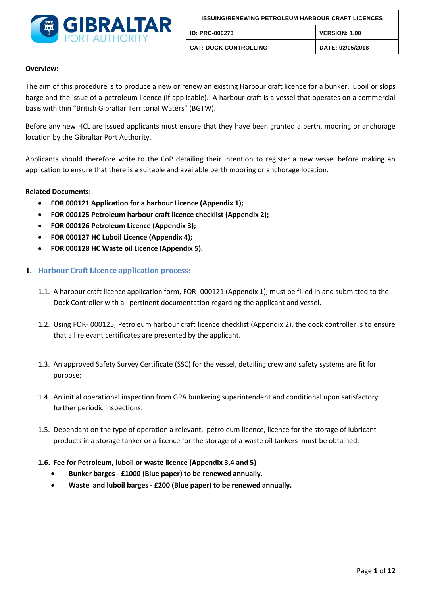

### **Overview:**

The aim of this procedure is to produce a new or renew an existing Harbour craft licence for a bunker, luboil or slops barge and the issue of a petroleum licence (if applicable). A harbour craft is a vessel that operates on a commercial basis with thin "British Gibraltar Territorial Waters" (BGTW).

Before any new HCL are issued applicants must ensure that they have been granted a berth, mooring or anchorage location by the Gibraltar Port Authority.

Applicants should therefore write to the CoP detailing their intention to register a new vessel before making an application to ensure that there is a suitable and available berth mooring or anchorage location.

### **Related Documents:**

- **FOR 000121 Application for a harbour Licence (Appendix 1);**
- **FOR 000125 Petroleum harbour craft licence checklist (Appendix 2);**
- **FOR 000126 Petroleum Licence (Appendix 3);**
- **FOR 000127 HC Luboil Licence (Appendix 4);**
- **FOR 000128 HC Waste oil Licence (Appendix 5).**

### **1. Harbour Craft Licence application process:**

- 1.1. A harbour craft licence application form, FOR -000121 (Appendix 1), must be filled in and submitted to the Dock Controller with all pertinent documentation regarding the applicant and vessel.
- 1.2. Using FOR- 000125, Petroleum harbour craft licence checklist (Appendix 2), the dock controller is to ensure that all relevant certificates are presented by the applicant.
- 1.3. An approved Safety Survey Certificate (SSC) for the vessel, detailing crew and safety systems are fit for purpose;
- 1.4. An initial operational inspection from GPA bunkering superintendent and conditional upon satisfactory further periodic inspections.
- 1.5. Dependant on the type of operation a relevant, petroleum licence, licence for the storage of lubricant products in a storage tanker or a licence for the storage of a waste oil tankers must be obtained.
- **1.6. Fee for Petroleum, luboil or waste licence (Appendix 3,4 and 5)**
	- **Bunker barges - £1000 (Blue paper) to be renewed annually.**
	- **Waste and luboil barges - £200 (Blue paper) to be renewed annually.**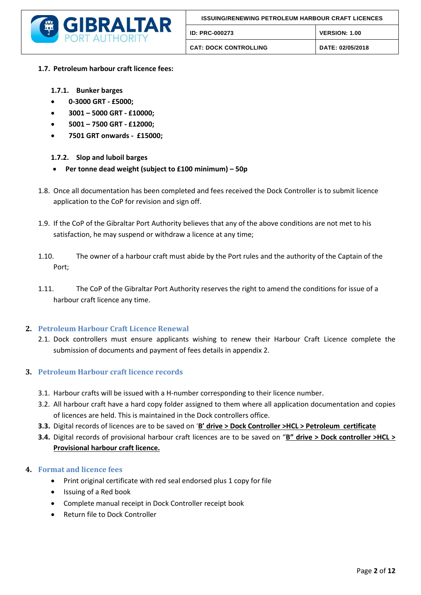

- **1.7. Petroleum harbour craft licence fees:**
	- **1.7.1. Bunker barges**
	- **0-3000 GRT - £5000;**
	- **3001 – 5000 GRT - £10000;**
	- **5001 – 7500 GRT - £12000;**
	- **7501 GRT onwards £15000;**

### **1.7.2. Slop and luboil barges**

- **Per tonne dead weight (subject to £100 minimum) – 50p**
- 1.8. Once all documentation has been completed and fees received the Dock Controller is to submit licence application to the CoP for revision and sign off.
- 1.9. If the CoP of the Gibraltar Port Authority believes that any of the above conditions are not met to his satisfaction, he may suspend or withdraw a licence at any time;
- 1.10. The owner of a harbour craft must abide by the Port rules and the authority of the Captain of the Port;
- 1.11. The CoP of the Gibraltar Port Authority reserves the right to amend the conditions for issue of a harbour craft licence any time.

### **2. Petroleum Harbour Craft Licence Renewal**

2.1. Dock controllers must ensure applicants wishing to renew their Harbour Craft Licence complete the submission of documents and payment of fees details in appendix 2.

### **3. Petroleum Harbour craft licence records**

- 3.1. Harbour crafts will be issued with a H-number corresponding to their licence number.
- 3.2. All harbour craft have a hard copy folder assigned to them where all application documentation and copies of licences are held. This is maintained in the Dock controllers office.
- **3.3.** Digital records of licences are to be saved on '**B' drive > Dock Controller >HCL > Petroleum certificate**
- **3.4.** Digital records of provisional harbour craft licences are to be saved on "**B" drive > Dock controller >HCL > Provisional harbour craft licence.**

### **4. Format and licence fees**

- Print original certificate with red seal endorsed plus 1 copy for file
- Issuing of a Red book
- Complete manual receipt in Dock Controller receipt book
- Return file to Dock Controller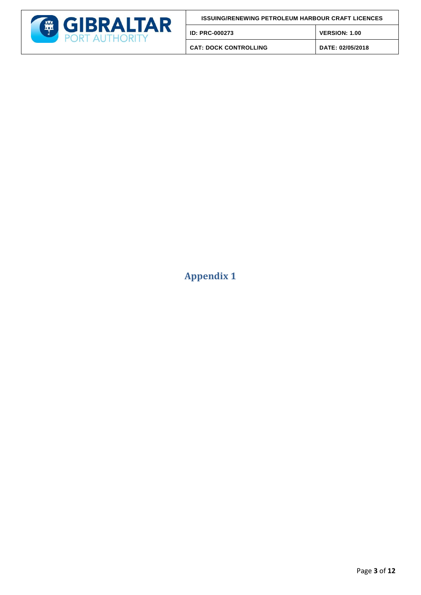

| <b>ISSUING/RENEWING PETROLEUM HARBOUR CRAFT LICENCES</b> |                      |
|----------------------------------------------------------|----------------------|
| <b>ID: PRC-000273</b>                                    | <b>VERSION: 1.00</b> |
| <b>CAT: DOCK CONTROLLING</b>                             | DATE: 02/05/2018     |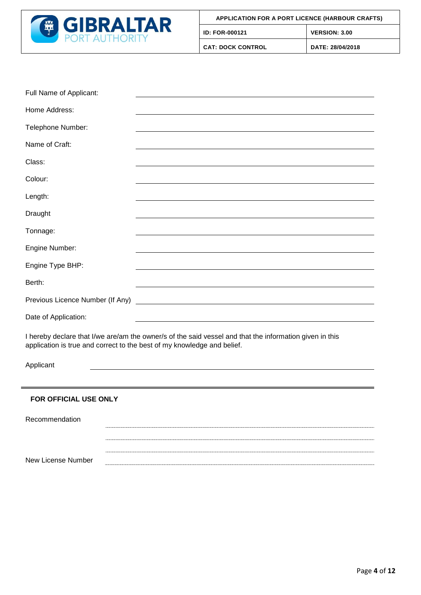

| Full Name of Applicant:                                                                                                                                                            |                                                                                                                       |  |
|------------------------------------------------------------------------------------------------------------------------------------------------------------------------------------|-----------------------------------------------------------------------------------------------------------------------|--|
| Home Address:                                                                                                                                                                      |                                                                                                                       |  |
| Telephone Number:                                                                                                                                                                  |                                                                                                                       |  |
| Name of Craft:                                                                                                                                                                     |                                                                                                                       |  |
| Class:                                                                                                                                                                             |                                                                                                                       |  |
| Colour:                                                                                                                                                                            |                                                                                                                       |  |
| Length:                                                                                                                                                                            |                                                                                                                       |  |
| Draught                                                                                                                                                                            |                                                                                                                       |  |
| Tonnage:                                                                                                                                                                           |                                                                                                                       |  |
| Engine Number:                                                                                                                                                                     |                                                                                                                       |  |
| Engine Type BHP:                                                                                                                                                                   |                                                                                                                       |  |
| Berth:                                                                                                                                                                             |                                                                                                                       |  |
| Previous Licence Number (If Any)                                                                                                                                                   | <u> 1989 - Johann Stoff, deutscher Stoffen und der Stoffen und der Stoffen und der Stoffen und der Stoffen und de</u> |  |
| Date of Application:                                                                                                                                                               |                                                                                                                       |  |
| I hereby declare that I/we are/am the owner/s of the said vessel and that the information given in this<br>application is true and correct to the best of my knowledge and belief. |                                                                                                                       |  |
| Applicant                                                                                                                                                                          |                                                                                                                       |  |
|                                                                                                                                                                                    |                                                                                                                       |  |
| EAD AEEIAIAL LISE ANI V                                                                                                                                                            |                                                                                                                       |  |

### **FOR OFFICIAL USE ONLY**

Recommendation New License Number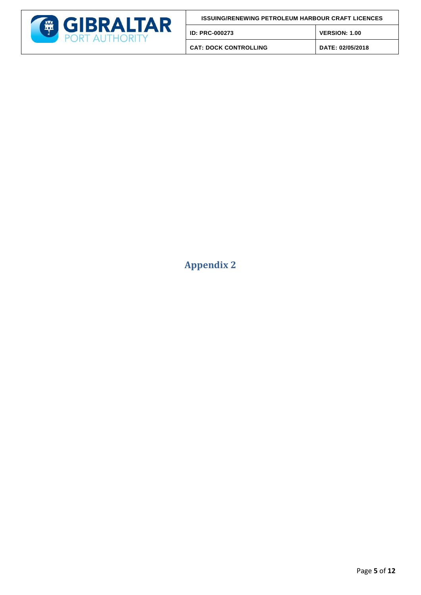

| <b>ISSUING/RENEWING PETROLEUM HARBOUR CRAFT LICENCES</b> |                      |
|----------------------------------------------------------|----------------------|
| ID: PRC-000273                                           | <b>VERSION: 1.00</b> |
| <b>CAT: DOCK CONTROLLING</b>                             | DATE: 02/05/2018     |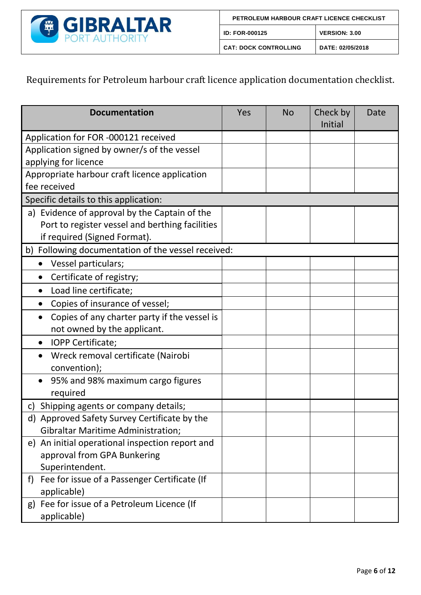

# Requirements for Petroleum harbour craft licence application documentation checklist.

| <b>Documentation</b>                               | Yes | <b>No</b> | Check by<br>Initial | Date |
|----------------------------------------------------|-----|-----------|---------------------|------|
| Application for FOR -000121 received               |     |           |                     |      |
| Application signed by owner/s of the vessel        |     |           |                     |      |
| applying for licence                               |     |           |                     |      |
| Appropriate harbour craft licence application      |     |           |                     |      |
| fee received                                       |     |           |                     |      |
| Specific details to this application:              |     |           |                     |      |
| a) Evidence of approval by the Captain of the      |     |           |                     |      |
| Port to register vessel and berthing facilities    |     |           |                     |      |
| if required (Signed Format).                       |     |           |                     |      |
| b) Following documentation of the vessel received: |     |           |                     |      |
| Vessel particulars;                                |     |           |                     |      |
| Certificate of registry;                           |     |           |                     |      |
| Load line certificate;                             |     |           |                     |      |
| Copies of insurance of vessel;                     |     |           |                     |      |
| Copies of any charter party if the vessel is       |     |           |                     |      |
| not owned by the applicant.                        |     |           |                     |      |
| IOPP Certificate;                                  |     |           |                     |      |
| Wreck removal certificate (Nairobi                 |     |           |                     |      |
| convention);                                       |     |           |                     |      |
| 95% and 98% maximum cargo figures                  |     |           |                     |      |
| required                                           |     |           |                     |      |
| Shipping agents or company details;<br>C)          |     |           |                     |      |
| d) Approved Safety Survey Certificate by the       |     |           |                     |      |
| <b>Gibraltar Maritime Administration;</b>          |     |           |                     |      |
| e) An initial operational inspection report and    |     |           |                     |      |
| approval from GPA Bunkering                        |     |           |                     |      |
| Superintendent.                                    |     |           |                     |      |
| Fee for issue of a Passenger Certificate (If<br>f) |     |           |                     |      |
| applicable)                                        |     |           |                     |      |
| Fee for issue of a Petroleum Licence (If<br>g)     |     |           |                     |      |
| applicable)                                        |     |           |                     |      |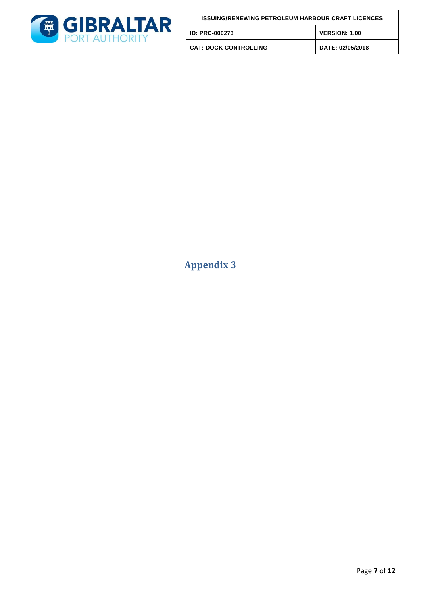

| <b>ISSUING/RENEWING PETROLEUM HARBOUR CRAFT LICENCES</b> |                      |
|----------------------------------------------------------|----------------------|
| ID: PRC-000273                                           | <b>VERSION: 1.00</b> |
| <b>CAT: DOCK CONTROLLING</b>                             | DATE: 02/05/2018     |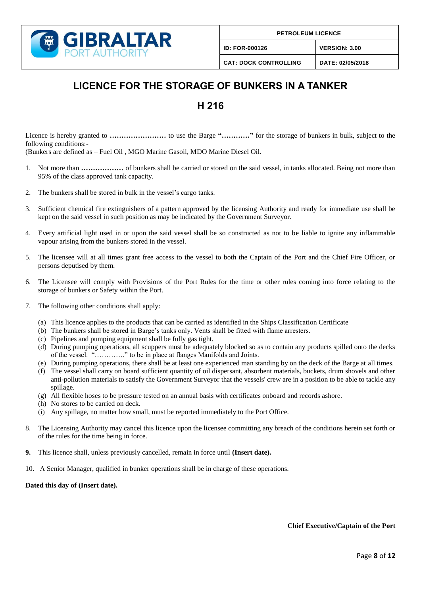

**ID: FOR-000126 VERSION: 3.00**

**CAT: DOCK CONTROLLING DATE: 02/05/2018**

# **LICENCE FOR THE STORAGE OF BUNKERS IN A TANKER**

### **H 216**

Licence is hereby granted to **…………………** to use the Barge "…………" for the storage of bunkers in bulk, subject to the following conditions:-

(Bunkers are defined as – Fuel Oil , MGO Marine Gasoil, MDO Marine Diesel Oil.

- Not more than **.................** of bunkers shall be carried or stored on the said vessel, in tanks allocated. Being not more than 95% of the class approved tank capacity.
- 2. The bunkers shall be stored in bulk in the vessel's cargo tanks.
- 3. Sufficient chemical fire extinguishers of a pattern approved by the licensing Authority and ready for immediate use shall be kept on the said vessel in such position as may be indicated by the Government Surveyor.
- 4. Every artificial light used in or upon the said vessel shall be so constructed as not to be liable to ignite any inflammable vapour arising from the bunkers stored in the vessel.
- 5. The licensee will at all times grant free access to the vessel to both the Captain of the Port and the Chief Fire Officer, or persons deputised by them.
- 6. The Licensee will comply with Provisions of the Port Rules for the time or other rules coming into force relating to the storage of bunkers or Safety within the Port.
- 7. The following other conditions shall apply:
	- (a) This licence applies to the products that can be carried as identified in the Ships Classification Certificate
	- (b) The bunkers shall be stored in Barge's tanks only. Vents shall be fitted with flame arresters.
	- (c) Pipelines and pumping equipment shall be fully gas tight.
	- (d) During pumping operations, all scuppers must be adequately blocked so as to contain any products spilled onto the decks of the vessel. "…………." to be in place at flanges Manifolds and Joints.
	- (e) During pumping operations, there shall be at least one experienced man standing by on the deck of the Barge at all times.
	- (f) The vessel shall carry on board sufficient quantity of oil dispersant, absorbent materials, buckets, drum shovels and other anti-pollution materials to satisfy the Government Surveyor that the vessels' crew are in a position to be able to tackle any spillage.
	- (g) All flexible hoses to be pressure tested on an annual basis with certificates onboard and records ashore.
	- (h) No stores to be carried on deck.
	- (i) Any spillage, no matter how small, must be reported immediately to the Port Office.
- 8. The Licensing Authority may cancel this licence upon the licensee committing any breach of the conditions herein set forth or of the rules for the time being in force.
- **9.** This licence shall, unless previously cancelled, remain in force until **(Insert date).**
- 10. A Senior Manager, qualified in bunker operations shall be in charge of these operations.

#### **Dated this day of (Insert date).**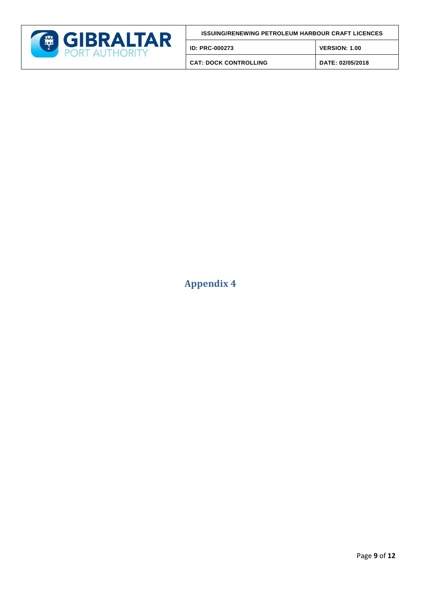

| <b>ISSUING/RENEWING PETROLEUM HARBOUR CRAFT LICENCES</b> |  |
|----------------------------------------------------------|--|
|                                                          |  |

| <b>ID: PRC-000273</b> | <b>VERSION: 1.00</b> |
|-----------------------|----------------------|
| CAT. DOCK CONTROLLING | DATE, 02/05/200      |

**CAT: DOCK CONTROLLING DATE: 02/05/2018**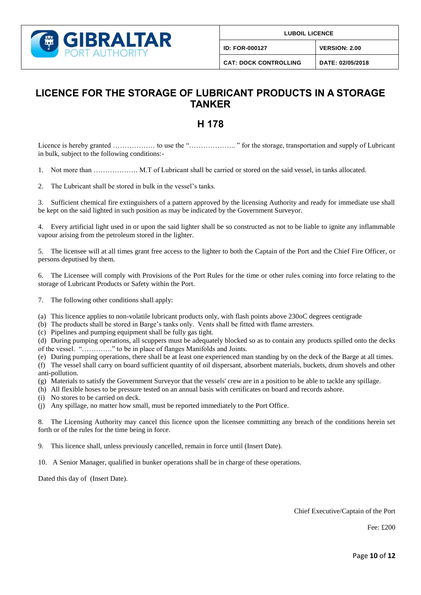

**LUBOIL LICENCE** 

**ID: FOR-000127 VERSION: 2.00**

## **LICENCE FOR THE STORAGE OF LUBRICANT PRODUCTS IN A STORAGE TANKER**

# **H 178**

Licence is hereby granted ……………… to use the "……………….. " for the storage, transportation and supply of Lubricant in bulk, subject to the following conditions:-

1. Not more than ………………. M.T of Lubricant shall be carried or stored on the said vessel, in tanks allocated.

2. The Lubricant shall be stored in bulk in the vessel's tanks.

3. Sufficient chemical fire extinguishers of a pattern approved by the licensing Authority and ready for immediate use shall be kept on the said lighted in such position as may be indicated by the Government Surveyor.

4. Every artificial light used in or upon the said lighter shall be so constructed as not to be liable to ignite any inflammable vapour arising from the petroleum stored in the lighter.

5. The licensee will at all times grant free access to the lighter to both the Captain of the Port and the Chief Fire Officer, or persons deputised by them.

6. The Licensee will comply with Provisions of the Port Rules for the time or other rules coming into force relating to the storage of Lubricant Products or Safety within the Port.

7. The following other conditions shall apply:

- (a) This licence applies to non-volatile lubricant products only, with flash points above 230oC degrees centigrade
- (b) The products shall be stored in Barge's tanks only. Vents shall be fitted with flame arresters.

(c) Pipelines and pumping equipment shall be fully gas tight.

(d) During pumping operations, all scuppers must be adequately blocked so as to contain any products spilled onto the decks of the vessel. "…………." to be in place of flanges Manifolds and Joints.

(e) During pumping operations, there shall be at least one experienced man standing by on the deck of the Barge at all times.

(f) The vessel shall carry on board sufficient quantity of oil dispersant, absorbent materials, buckets, drum shovels and other anti-pollution.

- (g) Materials to satisfy the Government Surveyor that the vessels' crew are in a position to be able to tackle any spillage.
- (h) All flexible hoses to be pressure tested on an annual basis with certificates on board and records ashore.
- (i) No stores to be carried on deck.

(j) Any spillage, no matter how small, must be reported immediately to the Port Office.

8. The Licensing Authority may cancel this licence upon the licensee committing any breach of the conditions herein set forth or of the rules for the time being in force.

9. This licence shall, unless previously cancelled, remain in force until (Insert Date).

10. A Senior Manager, qualified in bunker operations shall be in charge of these operations.

Dated this day of (Insert Date).

Chief Executive/Captain of the Port

Fee: £200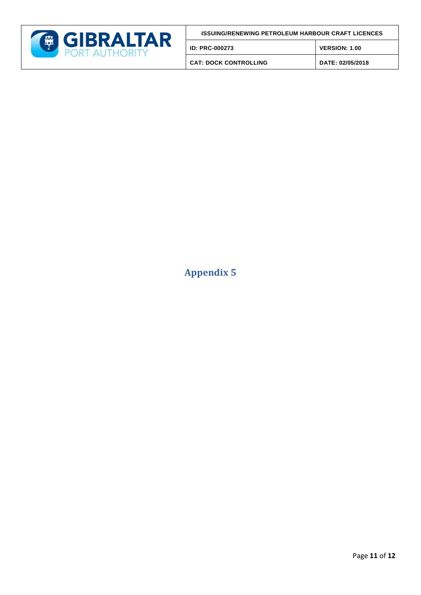

| <b>ISSUING/RENEWING PETROLEUM HARBOUR CRAFT LICENCES</b> |  |
|----------------------------------------------------------|--|
|                                                          |  |

**ID: PRC-000273 VERSION: 1.00**

**CAT: DOCK CONTROLLING DATE: 02/05/2018**